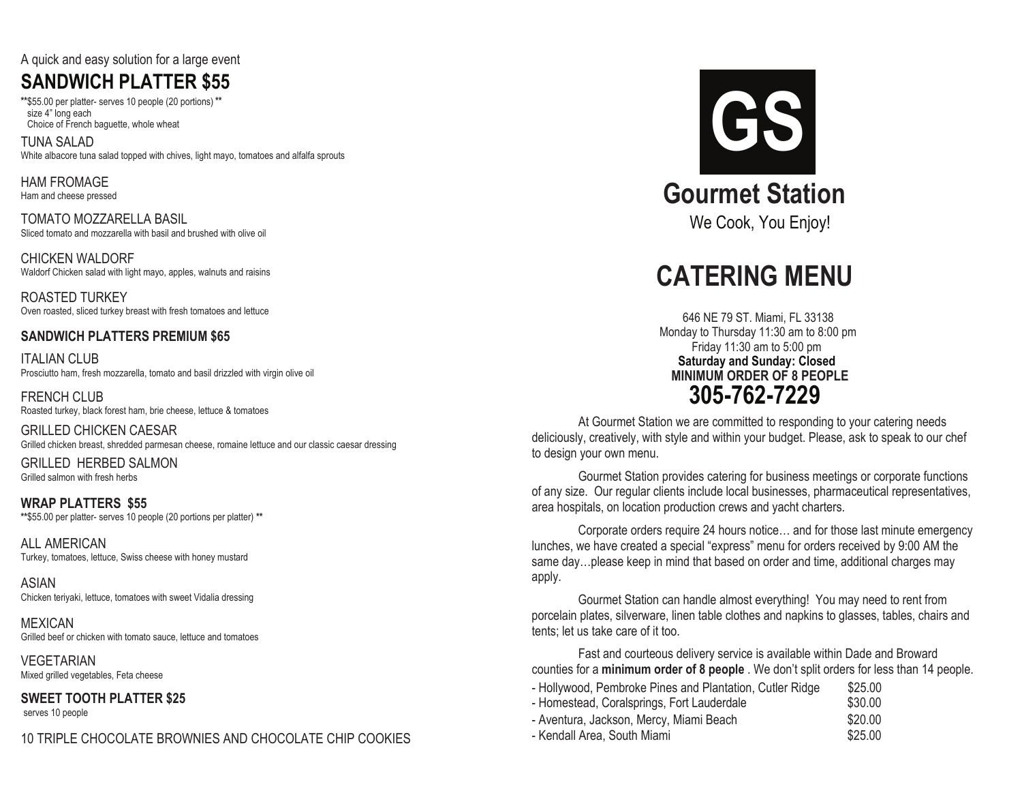#### A quick and easy solution for a large event

## **SANDWICH PLATTER \$55**

**\*\***\$55.00 per platter- serves 10 people **\*\*** (20 portions) size 4" long each Choice of French baguette, whole wheat

TUNA SALAD White albacore tuna salad topped with chives, light mayo, tomatoes and alfalfa sprouts

HAM FROMAGE Ham and cheese pressed

TOMATO MOZZARELLA BASIL Sliced tomato and mozzarella with basil and brushed with olive oil

CHICKEN WALDORF Waldorf Chicken salad with light mayo, apples, walnuts and raisins

ROASTED TURKEY Oven roasted, sliced turkey breast with fresh tomatoes and lettuce

#### **SANDWICH PLATTERS PREMIUM \$65**

ITALIAN CLUB Prosciutto ham, fresh mozzarella, tomato and basil drizzled with virgin olive oil

FRENCH CLUB Roasted turkey, black forest ham, brie cheese, lettuce & tomatoes

GRILLED CHICKEN CAESAR Grilled chicken breast, shredded parmesan cheese, romaine lettuce and our classic caesar dressing

Grilled salmon with fresh herbs GRILLED HERBED SALMON

**WRAP PLATTERS \$55 \*\***\$55.00 per platter- serves 10 people (20 portions per platter) **\*\***

ALL AMERICAN Turkey, tomatoes, lettuce, Swiss cheese with honey mustard

ASIAN Chicken teriyaki, lettuce, tomatoes with sweet Vidalia dressing

MEXICAN Grilled beef or chicken with tomato sauce, lettuce and tomatoes

**VEGETARIAN** Mixed grilled vegetables, Feta cheese

**SWEET TOOTH PLATTER \$25** serves 10 people

10 TRIPLE CHOCOLATE BROWNIES AND CHOCOLATE CHIP COOKIES



# **CATERING MENU**

646 NE 79 ST. Miami, FL 33138 Monday to Thursday 11:30 am to 8:00 pm Friday 11:30 am to 5:00 pm **Saturday and Sunday: Closed 305-762-7229 MINIMUM ORDER OF 8 PEOPLE**

At Gourmet Station we are committed to responding to your catering needs deliciously, creatively, with style and within your budget. Please, ask to speak to our chef to design your own menu.

Gourmet Station provides catering for business meetings or corporate functions of any size. Our regular clients include local businesses, pharmaceutical representatives, area hospitals, on location production crews and yacht charters.

Corporate orders require 24 hours notice… and for those last minute emergency lunches, we have created a special "express" menu for orders received by 9:00 AM the same day…please keep in mind that based on order and time, additional charges may apply.

Gourmet Station can handle almost everything! You may need to rent from porcelain plates, silverware, linen table clothes and napkins to glasses, tables, chairs and tents; let us take care of it too.

Fast and courteous delivery service is available within Dade and Broward counties for a **minimum order of 8 people** . We don't split orders for less than 14 people.

| - Hollywood, Pembroke Pines and Plantation, Cutler Ridge<br>- Homestead, Coralsprings, Fort Lauderdale<br>- Aventura, Jackson, Mercy, Miami Beach<br>- Kendall Area, South Miami | \$25.00<br>\$30.00<br>\$20.00<br>\$25.00 |
|----------------------------------------------------------------------------------------------------------------------------------------------------------------------------------|------------------------------------------|
|----------------------------------------------------------------------------------------------------------------------------------------------------------------------------------|------------------------------------------|